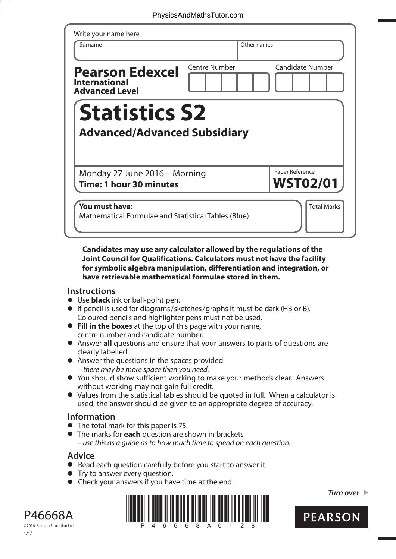| Surname                                                                 | Other names          |                         |
|-------------------------------------------------------------------------|----------------------|-------------------------|
| <b>Pearson Edexcel</b><br><b>International</b><br><b>Advanced Level</b> | <b>Centre Number</b> | <b>Candidate Number</b> |
| <b>Statistics S2</b><br><b>Advanced/Advanced Subsidiary</b>             |                      |                         |
|                                                                         |                      |                         |
|                                                                         |                      | Paper Reference         |

## **Candidates may use any calculator allowed by the regulations of the Joint Council for Qualifications. Calculators must not have the facility for symbolic algebra manipulation, differentiation and integration, or have retrievable mathematical formulae stored in them.**

## **Instructions**

- **•** Use **black** ink or ball-point pen.
- **•** If pencil is used for diagrams/sketches/graphs it must be dark (HB or B). Coloured pencils and highlighter pens must not be used. **• Fill in the boxes** at the top of this page with your name,
- centre number and candidate number.
- **•** Answer **all** questions and ensure that your answers to parts of questions are clearly labelled.
- **•** Answer the questions in the spaces provided – there may be more space than you need.
- **•** You should show sufficient working to make your methods clear. Answers without working may not gain full credit.
- **•** Values from the statistical tables should be quoted in full. When a calculator is used, the answer should be given to an appropriate degree of accuracy.

## **Information**

- **•** The total mark for this paper is 75.
- **•** The marks for **each** question are shown in brackets – use this as a guide as to how much time to spend on each question.

## **Advice**

- **Advice**<br>● Read each question carefully before you start to answer it. • Read each question carefully<br>• Try to answer every question.
- 
- Try to answer every question.<br>• Check your answers if you have time at the end.



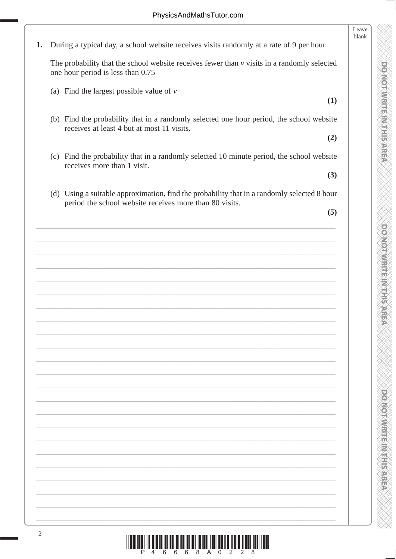**CONOTINEEIN ENTERNATION** 

**DO NOT WRITE IN THIS AREA** 

|    |                                                                                                                                                        | Leave<br>blank |
|----|--------------------------------------------------------------------------------------------------------------------------------------------------------|----------------|
| 1. | During a typical day, a school website receives visits randomly at a rate of 9 per hour.                                                               |                |
|    | The probability that the school website receives fewer than $\nu$ visits in a randomly selected<br>one hour period is less than 0.75                   |                |
|    | (a) Find the largest possible value of $\nu$<br>(1)                                                                                                    |                |
|    |                                                                                                                                                        |                |
|    | (b) Find the probability that in a randomly selected one hour period, the school website<br>receives at least 4 but at most 11 visits.                 |                |
|    | (2)                                                                                                                                                    |                |
|    | (c) Find the probability that in a randomly selected 10 minute period, the school website<br>receives more than 1 visit.                               |                |
|    | (3)                                                                                                                                                    |                |
|    | (d) Using a suitable approximation, find the probability that in a randomly selected 8 hour<br>period the school website receives more than 80 visits. |                |
|    | (5)                                                                                                                                                    |                |
|    |                                                                                                                                                        |                |
|    |                                                                                                                                                        |                |
|    |                                                                                                                                                        |                |
|    |                                                                                                                                                        |                |
|    |                                                                                                                                                        |                |
|    |                                                                                                                                                        |                |
|    |                                                                                                                                                        |                |
|    |                                                                                                                                                        |                |
|    |                                                                                                                                                        |                |
|    |                                                                                                                                                        |                |
|    |                                                                                                                                                        |                |
|    |                                                                                                                                                        |                |
|    |                                                                                                                                                        |                |
|    |                                                                                                                                                        |                |
|    |                                                                                                                                                        |                |
|    |                                                                                                                                                        |                |
|    |                                                                                                                                                        |                |
|    |                                                                                                                                                        |                |
|    |                                                                                                                                                        |                |
|    |                                                                                                                                                        |                |
|    |                                                                                                                                                        |                |
|    |                                                                                                                                                        |                |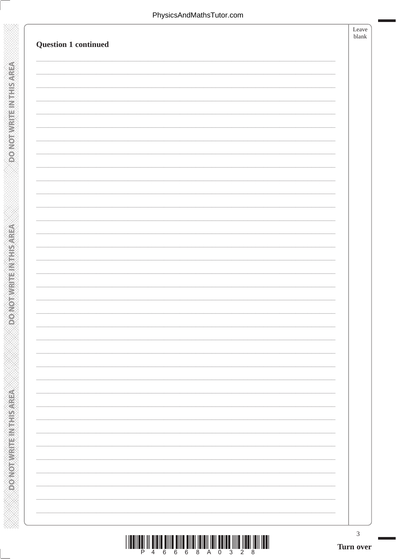**DONOTWRITEINTHISIAREA** 

**ASSESSMENT PROPERTY** 

| <b>Question 1 continued</b> | Leave<br>blank |
|-----------------------------|----------------|
|                             |                |
|                             |                |
|                             |                |
|                             |                |
|                             |                |
|                             |                |
|                             |                |
|                             |                |
|                             |                |
|                             |                |
|                             |                |
|                             |                |
|                             |                |
|                             |                |

 $\overline{3}$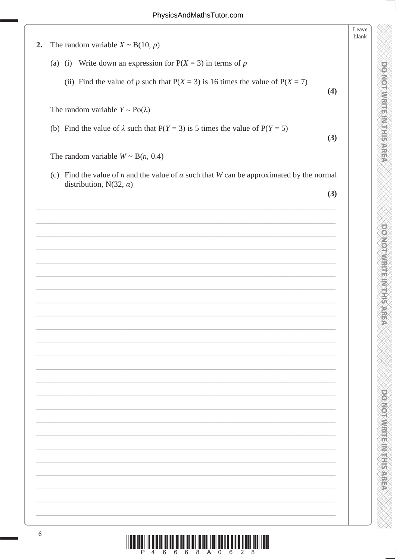**DOMOTWRITEINITHISAREA** 

DOMOT WRITE IN THIS AREA

| 2. | The random variable $X \sim B(10, p)$                                                                         | Leave<br>blank |
|----|---------------------------------------------------------------------------------------------------------------|----------------|
|    |                                                                                                               |                |
|    | (a) (i) Write down an expression for $P(X = 3)$ in terms of p                                                 |                |
|    | (ii) Find the value of p such that $P(X = 3)$ is 16 times the value of $P(X = 7)$<br>(4)                      |                |
|    | The random variable $Y \sim Po(\lambda)$                                                                      |                |
|    | (b) Find the value of $\lambda$ such that P(Y = 3) is 5 times the value of P(Y = 5)<br>(3)                    |                |
|    | The random variable $W \sim B(n, 0.4)$                                                                        |                |
|    | (c) Find the value of <i>n</i> and the value of $\alpha$ such that <i>W</i> can be approximated by the normal |                |
|    | distribution, N(32, $\alpha$ )<br>(3)                                                                         |                |
|    |                                                                                                               |                |
|    |                                                                                                               |                |
|    |                                                                                                               |                |
|    |                                                                                                               |                |
|    |                                                                                                               |                |
|    |                                                                                                               |                |
|    |                                                                                                               |                |
|    |                                                                                                               |                |
|    |                                                                                                               |                |
|    |                                                                                                               |                |
|    |                                                                                                               |                |
|    |                                                                                                               |                |
|    |                                                                                                               |                |
|    |                                                                                                               |                |
|    |                                                                                                               |                |
|    |                                                                                                               |                |
|    |                                                                                                               |                |
|    |                                                                                                               |                |
|    |                                                                                                               |                |
|    |                                                                                                               |                |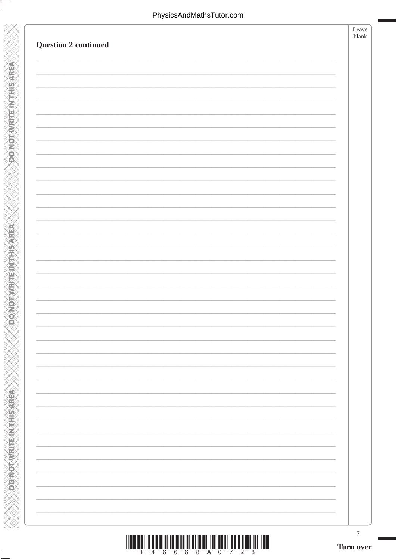**DONOTWRITE INTHIS AREA** 

**ASSESSMENT PROPERTY** 

| <b>Question 2 continued</b> | Leave<br>blank |
|-----------------------------|----------------|
|                             |                |
|                             |                |
|                             |                |
|                             |                |
|                             |                |
|                             |                |
|                             |                |
|                             |                |
|                             |                |
|                             |                |
|                             |                |
|                             |                |
|                             |                |
|                             |                |
|                             |                |
|                             |                |
|                             |                |
|                             |                |
|                             |                |
|                             |                |
|                             |                |
|                             |                |
|                             |                |
|                             |                |
|                             |                |
|                             |                |
|                             |                |

 $\overline{7}$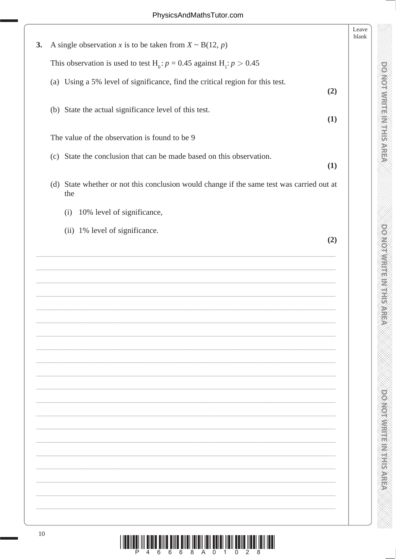**DOOKOTWRITE(MITHIS AREA** 

**DONOTWRITEINTSAREA** 

**DO NOT WRITE: MTHIS AREA** 

| A single observation x is to be taken from $X \sim B(12, p)$                                     |     |
|--------------------------------------------------------------------------------------------------|-----|
| This observation is used to test H <sub>0</sub> : $p = 0.45$ against H <sub>1</sub> : $p > 0.45$ |     |
| (a) Using a 5% level of significance, find the critical region for this test.                    | (2) |
| (b) State the actual significance level of this test.                                            | (1) |
| The value of the observation is found to be 9                                                    |     |
| (c) State the conclusion that can be made based on this observation.                             | (1) |
| (d) State whether or not this conclusion would change if the same test was carried out at<br>the |     |
| 10% level of significance,<br>(i)                                                                |     |
| (ii) 1% level of significance.                                                                   | (2) |
|                                                                                                  |     |
|                                                                                                  |     |
|                                                                                                  |     |
|                                                                                                  |     |
|                                                                                                  |     |
|                                                                                                  |     |
|                                                                                                  |     |
|                                                                                                  |     |
|                                                                                                  |     |
|                                                                                                  |     |
|                                                                                                  |     |
|                                                                                                  |     |
|                                                                                                  |     |
|                                                                                                  |     |
|                                                                                                  |     |
|                                                                                                  |     |
|                                                                                                  |     |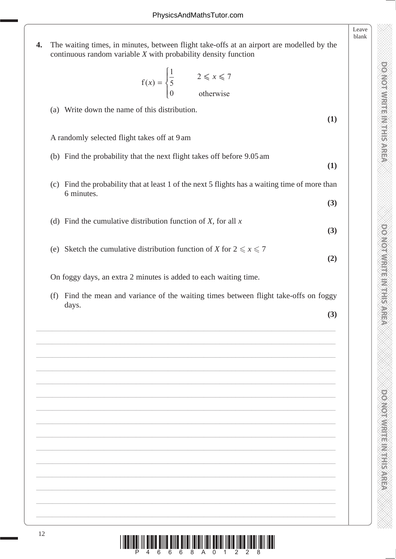- blank **4.** The waiting times, in minutes, between flight take-offs at an airport are modelled by the continuous random variable *X* with probability density function f otherwise  $f(x) = \begin{cases} \frac{1}{5} & 2 \leq x \end{cases}$ ⎨  $\frac{1}{2}$  $\overline{\mathcal{L}}$ 1 5  $\overline{0}$  $2 \leqslant x \leqslant 7$  (a) Write down the name of this distribution. **(1)** A randomly selected flight takes off at 9 am (b) Find the probability that the next flight takes off before 9.05 am **(1)** (c) Find the probability that at least 1 of the next 5 flights has a waiting time of more than 6 minutes. **(3)** (d) Find the cumulative distribution function of *X*, for all *x*
	- (e) Sketch the cumulative distribution function of *X* for  $2 \le x \le 7$

On foggy days, an extra 2 minutes is added to each waiting time.

 (f) Find the mean and variance of the waiting times between flight take-offs on foggy days.

\_\_\_\_\_\_\_\_\_\_\_\_\_\_\_\_\_\_\_\_\_\_\_\_\_\_\_\_\_\_\_\_\_\_\_\_\_\_\_\_\_\_\_\_\_\_\_\_\_\_\_\_\_\_\_\_\_\_\_\_\_\_\_\_\_\_\_\_\_\_\_\_\_\_\_

\_\_\_\_\_\_\_\_\_\_\_\_\_\_\_\_\_\_\_\_\_\_\_\_\_\_\_\_\_\_\_\_\_\_\_\_\_\_\_\_\_\_\_\_\_\_\_\_\_\_\_\_\_\_\_\_\_\_\_\_\_\_\_\_\_\_\_\_\_\_\_\_\_\_\_

\_\_\_\_\_\_\_\_\_\_\_\_\_\_\_\_\_\_\_\_\_\_\_\_\_\_\_\_\_\_\_\_\_\_\_\_\_\_\_\_\_\_\_\_\_\_\_\_\_\_\_\_\_\_\_\_\_\_\_\_\_\_\_\_\_\_\_\_\_\_\_\_\_\_\_

\_\_\_\_\_\_\_\_\_\_\_\_\_\_\_\_\_\_\_\_\_\_\_\_\_\_\_\_\_\_\_\_\_\_\_\_\_\_\_\_\_\_\_\_\_\_\_\_\_\_\_\_\_\_\_\_\_\_\_\_\_\_\_\_\_\_\_\_\_\_\_\_\_\_\_

\_\_\_\_\_\_\_\_\_\_\_\_\_\_\_\_\_\_\_\_\_\_\_\_\_\_\_\_\_\_\_\_\_\_\_\_\_\_\_\_\_\_\_\_\_\_\_\_\_\_\_\_\_\_\_\_\_\_\_\_\_\_\_\_\_\_\_\_\_\_\_\_\_\_\_

 $\_$  , and the set of the set of the set of the set of the set of the set of the set of the set of the set of the set of the set of the set of the set of the set of the set of the set of the set of the set of the set of th

\_\_\_\_\_\_\_\_\_\_\_\_\_\_\_\_\_\_\_\_\_\_\_\_\_\_\_\_\_\_\_\_\_\_\_\_\_\_\_\_\_\_\_\_\_\_\_\_\_\_\_\_\_\_\_\_\_\_\_\_\_\_\_\_\_\_\_\_\_\_\_\_\_\_\_

\_\_\_\_\_\_\_\_\_\_\_\_\_\_\_\_\_\_\_\_\_\_\_\_\_\_\_\_\_\_\_\_\_\_\_\_\_\_\_\_\_\_\_\_\_\_\_\_\_\_\_\_\_\_\_\_\_\_\_\_\_\_\_\_\_\_\_\_\_\_\_\_\_\_\_

 $\_$  , and the contribution of the contribution of the contribution of the contribution of the contribution of  $\mathcal{L}_\text{max}$ 

\_\_\_\_\_\_\_\_\_\_\_\_\_\_\_\_\_\_\_\_\_\_\_\_\_\_\_\_\_\_\_\_\_\_\_\_\_\_\_\_\_\_\_\_\_\_\_\_\_\_\_\_\_\_\_\_\_\_\_\_\_\_\_\_\_\_\_\_\_\_\_\_\_\_\_

\_\_\_\_\_\_\_\_\_\_\_\_\_\_\_\_\_\_\_\_\_\_\_\_\_\_\_\_\_\_\_\_\_\_\_\_\_\_\_\_\_\_\_\_\_\_\_\_\_\_\_\_\_\_\_\_\_\_\_\_\_\_\_\_\_\_\_\_\_\_\_\_\_\_\_

\_\_\_\_\_\_\_\_\_\_\_\_\_\_\_\_\_\_\_\_\_\_\_\_\_\_\_\_\_\_\_\_\_\_\_\_\_\_\_\_\_\_\_\_\_\_\_\_\_\_\_\_\_\_\_\_\_\_\_\_\_\_\_\_\_\_\_\_\_\_\_\_\_\_\_

\_\_\_\_\_\_\_\_\_\_\_\_\_\_\_\_\_\_\_\_\_\_\_\_\_\_\_\_\_\_\_\_\_\_\_\_\_\_\_\_\_\_\_\_\_\_\_\_\_\_\_\_\_\_\_\_\_\_\_\_\_\_\_\_\_\_\_\_\_\_\_\_\_\_\_

 $\_$  , and the set of the set of the set of the set of the set of the set of the set of the set of the set of the set of the set of the set of the set of the set of the set of the set of the set of the set of the set of th

\_\_\_\_\_\_\_\_\_\_\_\_\_\_\_\_\_\_\_\_\_\_\_\_\_\_\_\_\_\_\_\_\_\_\_\_\_\_\_\_\_\_\_\_\_\_\_\_\_\_\_\_\_\_\_\_\_\_\_\_\_\_\_\_\_\_\_\_\_\_\_\_\_\_\_

**(3)**

**(3)**

**(2)**

**DO NOT WRITE IN THIS AREA DO NOT WRITE IN THIS AREA DO NOT WRITE IN THIS AREA DO NOT WRITE IN THIS AREA DO NOT WRITE IN THIS AREA DO NOT WRITE IN THE AREA DO NOT WRITE IN THE AREA DO NOT WRITE IN THE AREA DO NOT WRITE IN** 

**DOMOTIVIRE INTERNATION** 

**DOOMORATION** 

**DOMORANT LETTER CARE** 

Leave

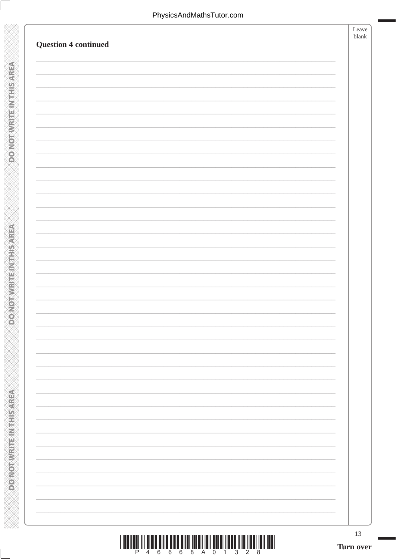**DONOTWRITEINTHISMREA** 

**DONOT WRITEINTHIS AREA** 

| <b>Question 4 continued</b> | Leave<br>blank |
|-----------------------------|----------------|
|                             |                |
|                             |                |
|                             |                |
|                             |                |
|                             |                |
|                             |                |
|                             |                |
|                             |                |
|                             |                |
|                             |                |
|                             |                |
|                             |                |
|                             |                |
|                             |                |

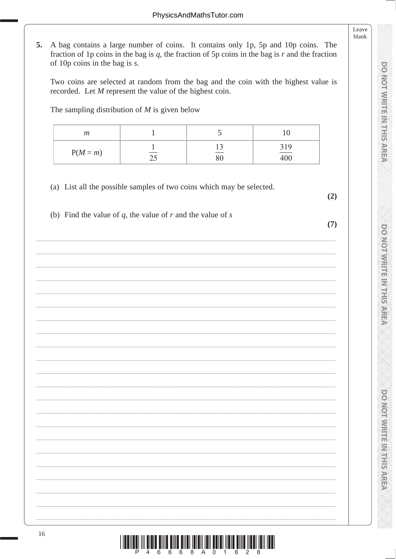Leave blank

**DOMOTIVISTE INTHES ARE** 

**DO NO. ME MENTER WELFS AREA** 

**DOOMORAL HEART PROPERTY** 

A bag contains a large number of coins. It contains only 1p, 5p and 10p coins. The 5. fraction of 1p coins in the bag is q, the fraction of 5p coins in the bag is  $r$  and the fraction of 10 $p$  coins in the bag is s.

Two coins are selected at random from the bag and the coin with the highest value is recorded. Let  $M$  represent the value of the highest coin.

The sampling distribution of  $M$  is given below

| m          |                                 |                          |            |
|------------|---------------------------------|--------------------------|------------|
| $P(M = m)$ | $\overline{\phantom{0}}$<br>ر ب | $\frac{13}{1}$<br>$80\,$ | 319<br>400 |

(a) List all the possible samples of two coins which may be selected.

- $(2)$
- $(7)$

(b) Find the value of q, the value of r and the value of s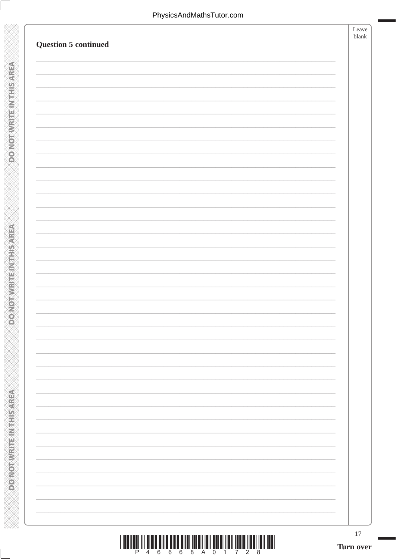**DONOTWRITEINTHISMREA** 

**DONOT WRITEINTHIS AREA** 

| <b>Question 5 continued</b> | Leave<br>blank |
|-----------------------------|----------------|
|                             |                |
|                             |                |
|                             |                |
|                             |                |
|                             |                |
|                             |                |
|                             |                |
|                             |                |
|                             |                |
|                             |                |
|                             |                |
|                             |                |
|                             |                |
|                             |                |
|                             |                |
|                             |                |
|                             |                |

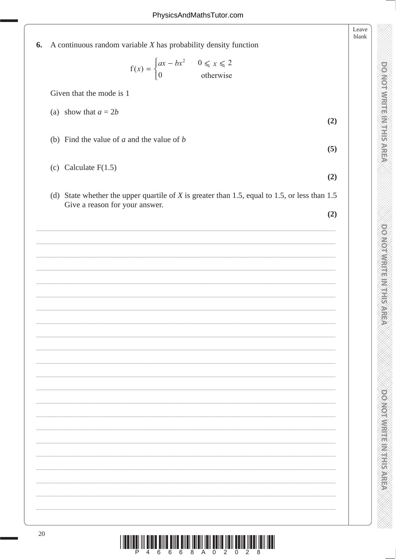**DOMOTWRITEINTHIS AREA** 

**DOMOTWRITE IN THIS AREA** 

DOMOTIVIRITE IN THIS AREA

|    |                                                                                                 | Leave<br>blank |
|----|-------------------------------------------------------------------------------------------------|----------------|
| 6. | A continuous random variable $X$ has probability density function                               |                |
|    | $f(x) = \begin{cases} ax - bx^2 & 0 \le x \le 2 \\ 0 & \text{otherwise} \end{cases}$            |                |
|    | Given that the mode is 1                                                                        |                |
|    | (a) show that $a = 2b$<br>(2)                                                                   |                |
|    | (b) Find the value of $a$ and the value of $b$                                                  |                |
|    | (5)                                                                                             |                |
|    | (c) Calculate $F(1.5)$<br>(2)                                                                   |                |
|    | (d) State whether the upper quartile of $X$ is greater than 1.5, equal to 1.5, or less than 1.5 |                |
|    | Give a reason for your answer.<br>(2)                                                           |                |
|    |                                                                                                 |                |
|    |                                                                                                 |                |
|    |                                                                                                 |                |
|    |                                                                                                 |                |
|    |                                                                                                 |                |
|    |                                                                                                 |                |
|    |                                                                                                 |                |
|    |                                                                                                 |                |
|    |                                                                                                 |                |
|    |                                                                                                 |                |
|    |                                                                                                 |                |
|    |                                                                                                 |                |
|    |                                                                                                 |                |
|    |                                                                                                 |                |
|    |                                                                                                 |                |
|    |                                                                                                 |                |
| 20 | IIII<br>IIII<br><u> III III IIII IIII IIII</u><br>⊪<br><u>HTMMINI</u><br>8<br>6<br>6            |                |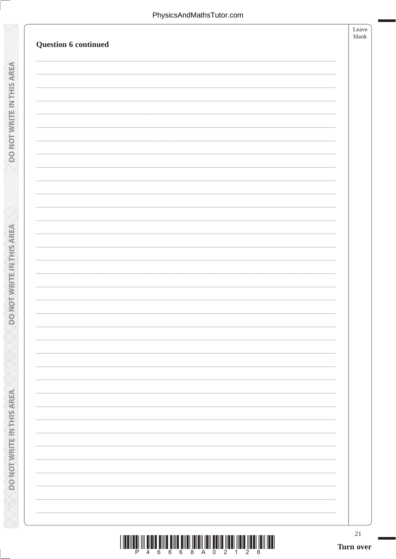**DONOTWRITEINTHISMREA** 

**DONOTHERNER THE NATURE** 

| Question 6 continued | Leave<br>blank |
|----------------------|----------------|
|                      |                |
|                      |                |
|                      |                |
|                      |                |
|                      |                |
|                      |                |
|                      |                |
|                      |                |
|                      |                |
|                      |                |
|                      |                |
|                      |                |
|                      |                |

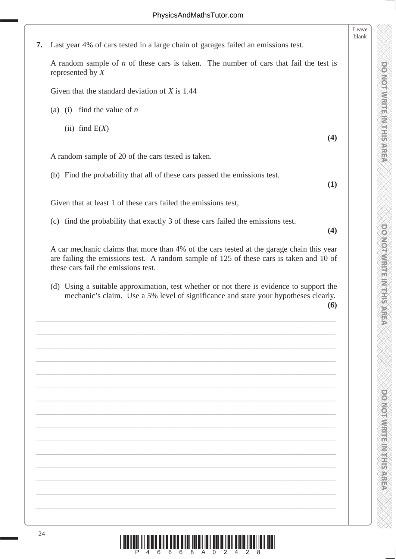**7.** Last year 4% of cars tested in a large chain of garages failed an emissions test.

 A random sample of *n* of these cars is taken. The number of cars that fail the test is represented by *X*

Given that the standard deviation of *X* is 1.44

(a) (i) find the value of *n*

 $(iii)$  find  $E(X)$ 

A random sample of 20 of the cars tested is taken.

(b) Find the probability that all of these cars passed the emissions test.

**(1)**

**(4)**

Leave blank

Given that at least 1 of these cars failed the emissions test,

(c) find the probability that exactly 3 of these cars failed the emissions test.

**(4)**

**DO NOT WRITE IN THIS AREA DO NOT WRITE IN THIS AREA DO NOT WRITE IN THIS AREA DO NOT WRITE IN THIS AREA DO NOT WRITE IN THIS AREA DO NOT WRITE IN THE AREA DO NOT WRITE IN THE AREA DO NOT WRITE IN THE AREA DO NOT WRITE IN** 

**DOMOTIVIRIES IN SARET** 

**DOGYOROM HER WELL SARE** 

**DONOTWRITE IN THIS AREA** 

 A car mechanic claims that more than 4% of the cars tested at the garage chain this year are failing the emissions test. A random sample of 125 of these cars is taken and 10 of these cars fail the emissions test.

 (d) Using a suitable approximation, test whether or not there is evidence to support the mechanic's claim. Use a 5% level of significance and state your hypotheses clearly. **(6)**

\_\_\_\_\_\_\_\_\_\_\_\_\_\_\_\_\_\_\_\_\_\_\_\_\_\_\_\_\_\_\_\_\_\_\_\_\_\_\_\_\_\_\_\_\_\_\_\_\_\_\_\_\_\_\_\_\_\_\_\_\_\_\_\_\_\_\_\_\_\_\_\_\_\_\_

\_\_\_\_\_\_\_\_\_\_\_\_\_\_\_\_\_\_\_\_\_\_\_\_\_\_\_\_\_\_\_\_\_\_\_\_\_\_\_\_\_\_\_\_\_\_\_\_\_\_\_\_\_\_\_\_\_\_\_\_\_\_\_\_\_\_\_\_\_\_\_\_\_\_\_

\_\_\_\_\_\_\_\_\_\_\_\_\_\_\_\_\_\_\_\_\_\_\_\_\_\_\_\_\_\_\_\_\_\_\_\_\_\_\_\_\_\_\_\_\_\_\_\_\_\_\_\_\_\_\_\_\_\_\_\_\_\_\_\_\_\_\_\_\_\_\_\_\_\_\_

\_\_\_\_\_\_\_\_\_\_\_\_\_\_\_\_\_\_\_\_\_\_\_\_\_\_\_\_\_\_\_\_\_\_\_\_\_\_\_\_\_\_\_\_\_\_\_\_\_\_\_\_\_\_\_\_\_\_\_\_\_\_\_\_\_\_\_\_\_\_\_\_\_\_\_

\_\_\_\_\_\_\_\_\_\_\_\_\_\_\_\_\_\_\_\_\_\_\_\_\_\_\_\_\_\_\_\_\_\_\_\_\_\_\_\_\_\_\_\_\_\_\_\_\_\_\_\_\_\_\_\_\_\_\_\_\_\_\_\_\_\_\_\_\_\_\_\_\_\_\_

\_\_\_\_\_\_\_\_\_\_\_\_\_\_\_\_\_\_\_\_\_\_\_\_\_\_\_\_\_\_\_\_\_\_\_\_\_\_\_\_\_\_\_\_\_\_\_\_\_\_\_\_\_\_\_\_\_\_\_\_\_\_\_\_\_\_\_\_\_\_\_\_\_\_\_

\_\_\_\_\_\_\_\_\_\_\_\_\_\_\_\_\_\_\_\_\_\_\_\_\_\_\_\_\_\_\_\_\_\_\_\_\_\_\_\_\_\_\_\_\_\_\_\_\_\_\_\_\_\_\_\_\_\_\_\_\_\_\_\_\_\_\_\_\_\_\_\_\_\_\_

\_\_\_\_\_\_\_\_\_\_\_\_\_\_\_\_\_\_\_\_\_\_\_\_\_\_\_\_\_\_\_\_\_\_\_\_\_\_\_\_\_\_\_\_\_\_\_\_\_\_\_\_\_\_\_\_\_\_\_\_\_\_\_\_\_\_\_\_\_\_\_\_\_\_\_

\_\_\_\_\_\_\_\_\_\_\_\_\_\_\_\_\_\_\_\_\_\_\_\_\_\_\_\_\_\_\_\_\_\_\_\_\_\_\_\_\_\_\_\_\_\_\_\_\_\_\_\_\_\_\_\_\_\_\_\_\_\_\_\_\_\_\_\_\_\_\_\_\_\_\_

\_\_\_\_\_\_\_\_\_\_\_\_\_\_\_\_\_\_\_\_\_\_\_\_\_\_\_\_\_\_\_\_\_\_\_\_\_\_\_\_\_\_\_\_\_\_\_\_\_\_\_\_\_\_\_\_\_\_\_\_\_\_\_\_\_\_\_\_\_\_\_\_\_\_\_

\_\_\_\_\_\_\_\_\_\_\_\_\_\_\_\_\_\_\_\_\_\_\_\_\_\_\_\_\_\_\_\_\_\_\_\_\_\_\_\_\_\_\_\_\_\_\_\_\_\_\_\_\_\_\_\_\_\_\_\_\_\_\_\_\_\_\_\_\_\_\_\_\_\_\_